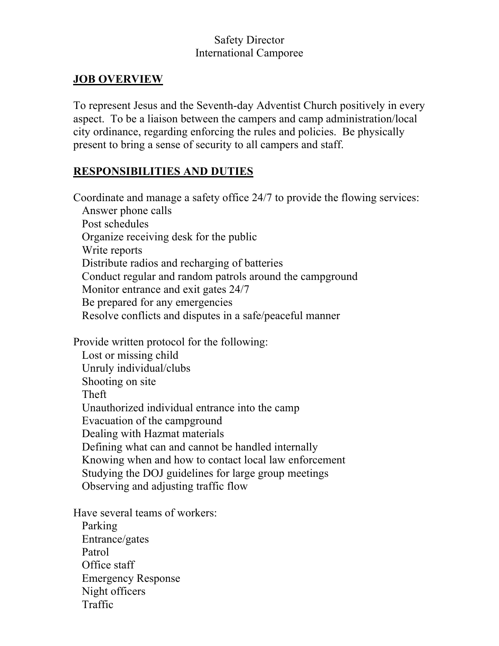## Safety Director International Camporee

### **JOB OVERVIEW**

To represent Jesus and the Seventh-day Adventist Church positively in every aspect. To be a liaison between the campers and camp administration/local city ordinance, regarding enforcing the rules and policies. Be physically present to bring a sense of security to all campers and staff.

#### **RESPONSIBILITIES AND DUTIES**

Coordinate and manage a safety office 24/7 to provide the flowing services: Answer phone calls Post schedules Organize receiving desk for the public Write reports Distribute radios and recharging of batteries Conduct regular and random patrols around the campground Monitor entrance and exit gates 24/7 Be prepared for any emergencies Resolve conflicts and disputes in a safe/peaceful manner

Provide written protocol for the following:

 Lost or missing child Unruly individual/clubs Shooting on site Theft Unauthorized individual entrance into the camp Evacuation of the campground Dealing with Hazmat materials Defining what can and cannot be handled internally Knowing when and how to contact local law enforcement Studying the DOJ guidelines for large group meetings Observing and adjusting traffic flow

Have several teams of workers:

 Parking Entrance/gates Patrol Office staff Emergency Response Night officers Traffic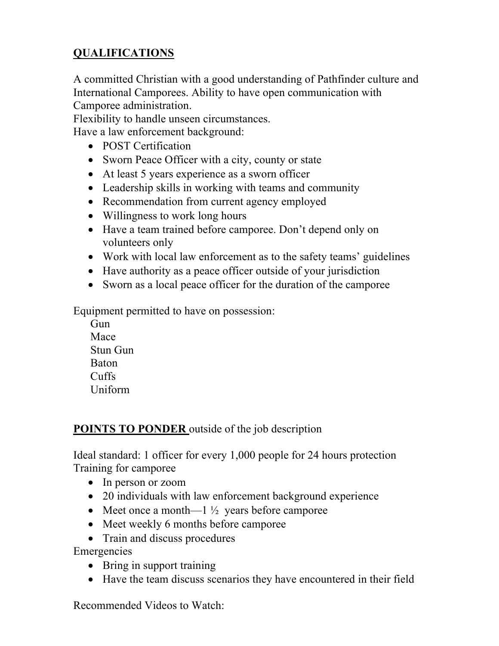# **QUALIFICATIONS**

A committed Christian with a good understanding of Pathfinder culture and International Camporees. Ability to have open communication with Camporee administration.

Flexibility to handle unseen circumstances.

Have a law enforcement background:

- POST Certification
- Sworn Peace Officer with a city, county or state
- At least 5 years experience as a sworn officer
- Leadership skills in working with teams and community
- Recommendation from current agency employed
- Willingness to work long hours
- Have a team trained before camporee. Don't depend only on volunteers only
- Work with local law enforcement as to the safety teams' guidelines
- Have authority as a peace officer outside of your jurisdiction
- Sworn as a local peace officer for the duration of the camporee

Equipment permitted to have on possession:

**Gun**  Mace Stun Gun Baton Cuffs Uniform

## **POINTS TO PONDER** outside of the job description

Ideal standard: 1 officer for every 1,000 people for 24 hours protection Training for camporee

- In person or zoom
- 20 individuals with law enforcement background experience
- Meet once a month—1  $\frac{1}{2}$  years before camporee
- Meet weekly 6 months before camporee
- Train and discuss procedures

Emergencies

- Bring in support training
- Have the team discuss scenarios they have encountered in their field

Recommended Videos to Watch: